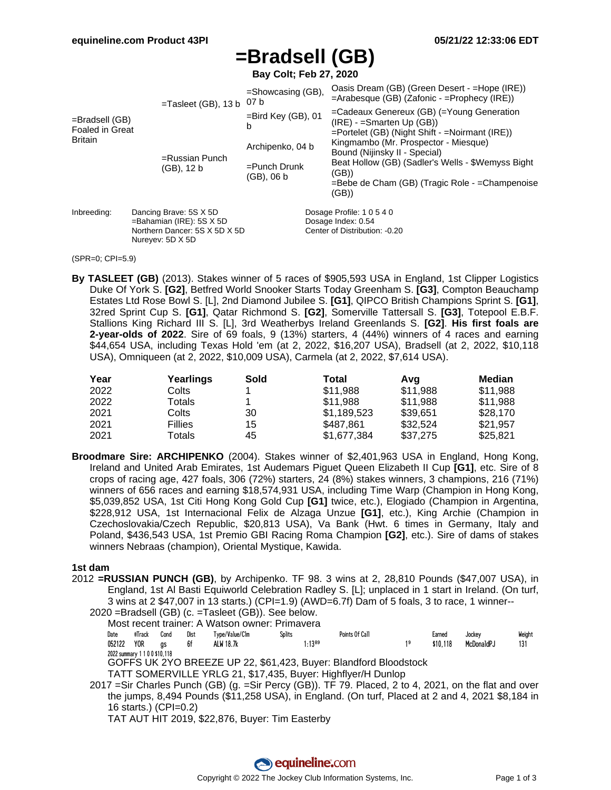## **=Bradsell (GB)**

**Bay Colt; Feb 27, 2020**

|                                          |                                                                                                            | $=$ Tasleet (GB), 13 b 07 b     | $=$ Showcasing (GB),<br>$=$ Bird Key (GB), 01<br>b |                                                     | Oasis Dream (GB) (Green Desert - =Hope (IRE))<br>$=$ Arabesque (GB) (Zafonic - $=$ Prophecy (IRE))                                  |  |  |  |  |
|------------------------------------------|------------------------------------------------------------------------------------------------------------|---------------------------------|----------------------------------------------------|-----------------------------------------------------|-------------------------------------------------------------------------------------------------------------------------------------|--|--|--|--|
| =Bradsell (GB)<br><b>Foaled in Great</b> |                                                                                                            |                                 |                                                    |                                                     | $=$ Cadeaux Genereux (GB) $($ =Young Generation<br>$(IRE) -$ =Smarten Up $(GB)$ )<br>=Portelet (GB) (Night Shift - =Noirmant (IRE)) |  |  |  |  |
| <b>Britain</b>                           |                                                                                                            |                                 | Archipenko, 04 b<br>$=$ Punch Drunk<br>(GB), 06 b  |                                                     | Kingmambo (Mr. Prospector - Miesque)<br>Bound (Nijinsky II - Special)                                                               |  |  |  |  |
|                                          |                                                                                                            | $=$ Russian Punch<br>(GB), 12 b |                                                    |                                                     | Beat Hollow (GB) (Sadler's Wells - \$Wemyss Bight<br>(GB))<br>$=$ Bebe de Cham (GB) (Tragic Role - $=$ Champenoise                  |  |  |  |  |
|                                          |                                                                                                            |                                 |                                                    |                                                     | (GB))                                                                                                                               |  |  |  |  |
| Inbreeding:                              | Dancing Brave: 5S X 5D<br>$=$ Bahamian (IRE): 5S X 5D<br>Northern Dancer: 5S X 5D X 5D<br>Nureyev: 5D X 5D |                                 |                                                    | Dosage Profile: 1 0 5 4 0                           |                                                                                                                                     |  |  |  |  |
|                                          |                                                                                                            |                                 |                                                    | Dosage Index: 0.54<br>Center of Distribution: -0.20 |                                                                                                                                     |  |  |  |  |

#### (SPR=0; CPI=5.9)

**By TASLEET (GB)** (2013). Stakes winner of 5 races of \$905,593 USA in England, 1st Clipper Logistics Duke Of York S. **[G2]**, Betfred World Snooker Starts Today Greenham S. **[G3]**, Compton Beauchamp Estates Ltd Rose Bowl S. [L], 2nd Diamond Jubilee S. **[G1]**, QIPCO British Champions Sprint S. **[G1]**, 32red Sprint Cup S. **[G1]**, Qatar Richmond S. **[G2]**, Somerville Tattersall S. **[G3]**, Totepool E.B.F. Stallions King Richard III S. [L], 3rd Weatherbys Ireland Greenlands S. **[G2]**. **His first foals are 2-year-olds of 2022**. Sire of 69 foals, 9 (13%) starters, 4 (44%) winners of 4 races and earning \$44,654 USA, including Texas Hold 'em (at 2, 2022, \$16,207 USA), Bradsell (at 2, 2022, \$10,118 USA), Omniqueen (at 2, 2022, \$10,009 USA), Carmela (at 2, 2022, \$7,614 USA).

| Year | Yearlings | Sold | Total       | Avq      | Median   |
|------|-----------|------|-------------|----------|----------|
| 2022 | Colts     |      | \$11,988    | \$11,988 | \$11,988 |
| 2022 | Totals    |      | \$11.988    | \$11,988 | \$11,988 |
| 2021 | Colts     | 30   | \$1.189.523 | \$39.651 | \$28,170 |
| 2021 | Fillies   | 15   | \$487.861   | \$32,524 | \$21.957 |
| 2021 | Totals    | 45   | \$1.677.384 | \$37,275 | \$25.821 |

**Broodmare Sire: ARCHIPENKO** (2004). Stakes winner of \$2,401,963 USA in England, Hong Kong, Ireland and United Arab Emirates, 1st Audemars Piguet Queen Elizabeth II Cup **[G1]**, etc. Sire of 8 crops of racing age, 427 foals, 306 (72%) starters, 24 (8%) stakes winners, 3 champions, 216 (71%) winners of 656 races and earning \$18,574,931 USA, including Time Warp (Champion in Hong Kong, \$5,039,852 USA, 1st Citi Hong Kong Gold Cup **[G1]** twice, etc.), Elogiado (Champion in Argentina, \$228,912 USA, 1st Internacional Felix de Alzaga Unzue **[G1]**, etc.), King Archie (Champion in Czechoslovakia/Czech Republic, \$20,813 USA), Va Bank (Hwt. 6 times in Germany, Italy and Poland, \$436,543 USA, 1st Premio GBI Racing Roma Champion **[G2]**, etc.). Sire of dams of stakes winners Nebraas (champion), Oriental Mystique, Kawida.

#### **1st dam**

2012 **=RUSSIAN PUNCH (GB)**, by Archipenko. TF 98. 3 wins at 2, 28,810 Pounds (\$47,007 USA), in England, 1st Al Basti Equiworld Celebration Radley S. [L]; unplaced in 1 start in Ireland. (On turf, 3 wins at 2 \$47,007 in 13 starts.) (CPI=1.9) (AWD=6.7f) Dam of 5 foals, 3 to race, 1 winner-- 2020 =Bradsell (GB) (c. =Tasleet (GB)). See below.

Most recent trainer: A Watson owner: Primavera

| Date                      | #Track | Cond | <u>Distant is a</u> | Type/Value/Clm | <b>Splits</b> | Points Of Call | Earned   | Jockey     | Weight |
|---------------------------|--------|------|---------------------|----------------|---------------|----------------|----------|------------|--------|
| 052122 YOR gs             |        |      | 6f                  | ALW 18.7k      | $1:13^{89}$   |                | \$10.118 | McDona1dPJ | 131    |
| 2022 summary 1100\$10,118 |        |      |                     |                |               |                |          |            |        |

2022 summary 1 1 0 0 \$10,118 GOFFS UK 2YO BREEZE UP 22, \$61,423, Buyer: Blandford Bloodstock

TATT SOMERVILLE YRLG 21, \$17,435, Buyer: Highflyer/H Dunlop

2017 =Sir Charles Punch (GB) (g. =Sir Percy (GB)). TF 79. Placed, 2 to 4, 2021, on the flat and over the jumps, 8,494 Pounds (\$11,258 USA), in England. (On turf, Placed at 2 and 4, 2021 \$8,184 in 16 starts.) (CPI=0.2)

TAT AUT HIT 2019, \$22,876, Buyer: Tim Easterby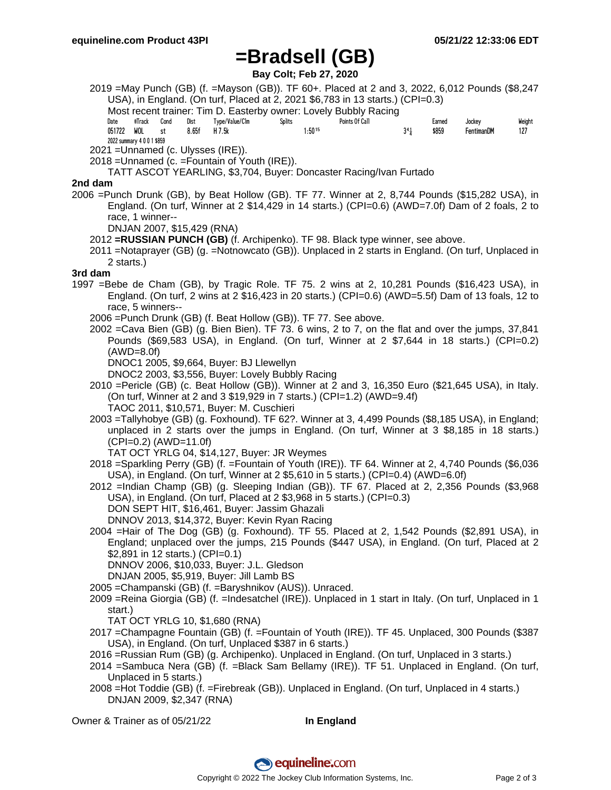## **=Bradsell (GB)**

**Bay Colt; Feb 27, 2020**

- 2019 =May Punch (GB) (f. =Mayson (GB)). TF 60+. Placed at 2 and 3, 2022, 6,012 Pounds (\$8,247 USA), in England. (On turf, Placed at 2, 2021 \$6,783 in 13 starts.) (CPI=0.3)
	- Most recent trainer: Tim D. Easterby owner: Lovely Bubbly Racing

| Date   | #Track                     | Cond | Dist  | Type/Value/Clm | Splits | Points Of Call |     | Earned | Jockey     | Weight |
|--------|----------------------------|------|-------|----------------|--------|----------------|-----|--------|------------|--------|
| 051722 | WOL                        | st   | 8.65f | H 7.5k         |        | $1:50^{15}$    | 341 | \$859  | FentimanDM | 127    |
|        | 2022 summary 4 0 0 1 \$859 |      |       |                |        |                |     |        |            |        |

2021 =Unnamed (c. Ulysses (IRE)).

2018 =Unnamed (c. =Fountain of Youth (IRE)).

TATT ASCOT YEARLING, \$3,704, Buyer: Doncaster Racing/Ivan Furtado

### **2nd dam**

- 2006 =Punch Drunk (GB), by Beat Hollow (GB). TF 77. Winner at 2, 8,744 Pounds (\$15,282 USA), in England. (On turf, Winner at 2 \$14,429 in 14 starts.) (CPI=0.6) (AWD=7.0f) Dam of 2 foals, 2 to race, 1 winner--
	- DNJAN 2007, \$15,429 (RNA)
	- 2012 **=RUSSIAN PUNCH (GB)** (f. Archipenko). TF 98. Black type winner, see above.
	- 2011 =Notaprayer (GB) (g. =Notnowcato (GB)). Unplaced in 2 starts in England. (On turf, Unplaced in 2 starts.)

### **3rd dam**

- 1997 =Bebe de Cham (GB), by Tragic Role. TF 75. 2 wins at 2, 10,281 Pounds (\$16,423 USA), in England. (On turf, 2 wins at 2 \$16,423 in 20 starts.) (CPI=0.6) (AWD=5.5f) Dam of 13 foals, 12 to race, 5 winners--
	- 2006 =Punch Drunk (GB) (f. Beat Hollow (GB)). TF 77. See above.
	- 2002 =Cava Bien (GB) (g. Bien Bien). TF 73. 6 wins, 2 to 7, on the flat and over the jumps, 37,841 Pounds (\$69,583 USA), in England. (On turf, Winner at 2 \$7,644 in 18 starts.) (CPI=0.2) (AWD=8.0f)

DNOC1 2005, \$9,664, Buyer: BJ Llewellyn

DNOC2 2003, \$3,556, Buyer: Lovely Bubbly Racing

- 2010 =Pericle (GB) (c. Beat Hollow (GB)). Winner at 2 and 3, 16,350 Euro (\$21,645 USA), in Italy. (On turf, Winner at 2 and 3 \$19,929 in 7 starts.) (CPI=1.2) (AWD=9.4f) TAOC 2011, \$10,571, Buyer: M. Cuschieri
- 2003 =Tallyhobye (GB) (g. Foxhound). TF 62?. Winner at 3, 4,499 Pounds (\$8,185 USA), in England; unplaced in 2 starts over the jumps in England. (On turf, Winner at 3 \$8,185 in 18 starts.)  $(CPI=0.2)$  (AWD=11.0f)

TAT OCT YRLG 04, \$14,127, Buyer: JR Weymes

- 2018 =Sparkling Perry (GB) (f. =Fountain of Youth (IRE)). TF 64. Winner at 2, 4,740 Pounds (\$6,036 USA), in England. (On turf, Winner at 2 \$5,610 in 5 starts.) (CPI=0.4) (AWD=6.0f)
- 2012 =Indian Champ (GB) (g. Sleeping Indian (GB)). TF 67. Placed at 2, 2,356 Pounds (\$3,968 USA), in England. (On turf, Placed at 2 \$3,968 in 5 starts.) (CPI=0.3) DON SEPT HIT, \$16,461, Buyer: Jassim Ghazali DNNOV 2013, \$14,372, Buyer: Kevin Ryan Racing
- 2004 =Hair of The Dog (GB) (g. Foxhound). TF 55. Placed at 2, 1,542 Pounds (\$2,891 USA), in England; unplaced over the jumps, 215 Pounds (\$447 USA), in England. (On turf, Placed at 2 \$2,891 in 12 starts.) (CPI=0.1)

DNNOV 2006, \$10,033, Buyer: J.L. Gledson

DNJAN 2005, \$5,919, Buyer: Jill Lamb BS

- 2005 =Champanski (GB) (f. =Baryshnikov (AUS)). Unraced.
- 2009 =Reina Giorgia (GB) (f. =Indesatchel (IRE)). Unplaced in 1 start in Italy. (On turf, Unplaced in 1 start.)

TAT OCT YRLG 10, \$1,680 (RNA)

- 2017 =Champagne Fountain (GB) (f. =Fountain of Youth (IRE)). TF 45. Unplaced, 300 Pounds (\$387 USA), in England. (On turf, Unplaced \$387 in 6 starts.)
- 2016 =Russian Rum (GB) (g. Archipenko). Unplaced in England. (On turf, Unplaced in 3 starts.)
- 2014 =Sambuca Nera (GB) (f. =Black Sam Bellamy (IRE)). TF 51. Unplaced in England. (On turf, Unplaced in 5 starts.)
- 2008 =Hot Toddie (GB) (f. =Firebreak (GB)). Unplaced in England. (On turf, Unplaced in 4 starts.) DNJAN 2009, \$2,347 (RNA)

Owner & Trainer as of 05/21/22 **In England**